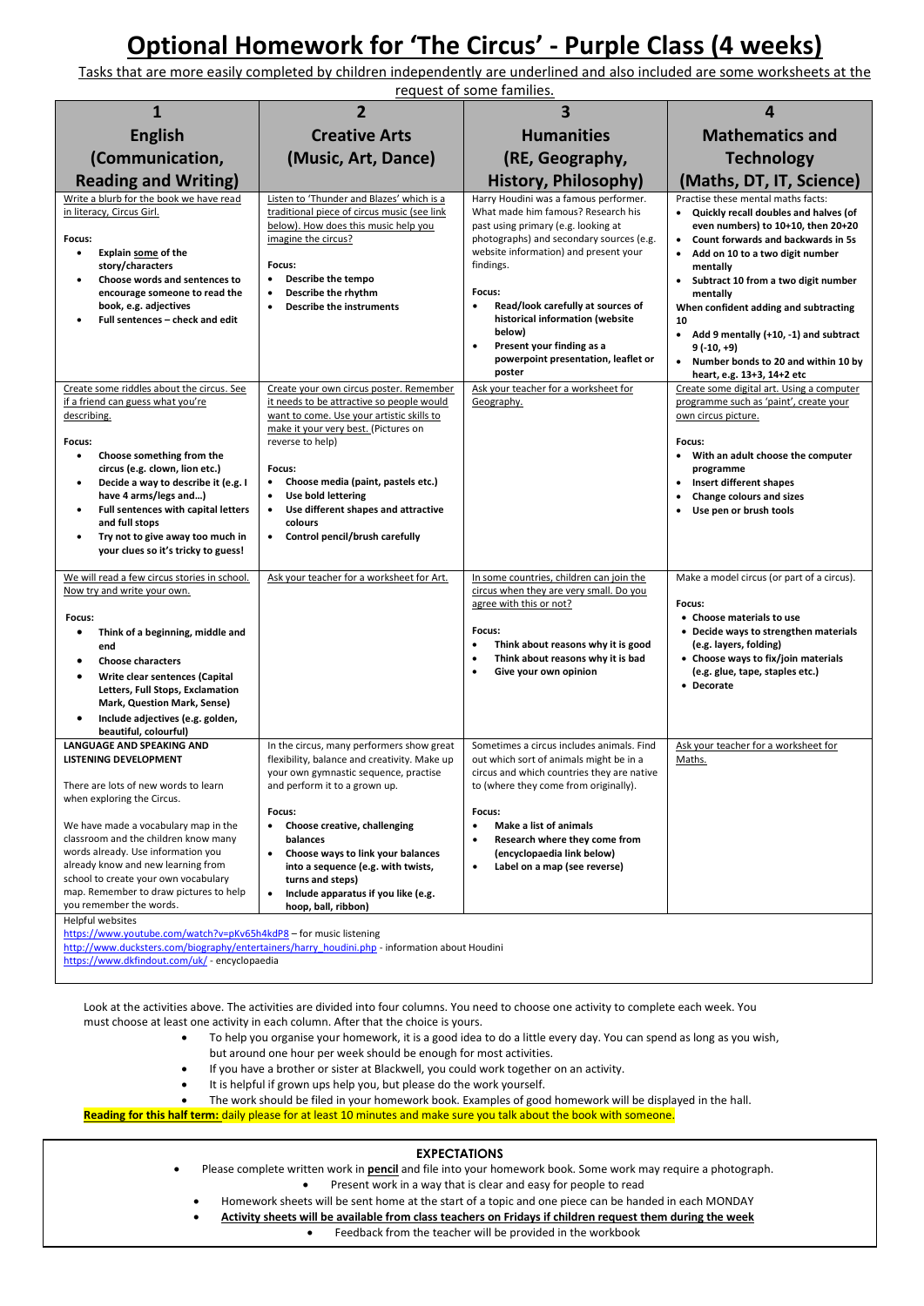## **Optional Homework for 'The Circus' - Purple Class (4 weeks)**

Tasks that are more easily completed by children independently are underlined and also included are some worksheets at the request of some families.

| <b>Creative Arts</b><br>(Music, Art, Dance)                                                                                                                                                                                                                                                                                                                                                                                   | <b>Humanities</b>                                                                                                                                                                                                                                                                                                                                                                                                        | <b>Mathematics and</b>                                                                                                                                                                                                                                                                                                                                                                                                                                                |
|-------------------------------------------------------------------------------------------------------------------------------------------------------------------------------------------------------------------------------------------------------------------------------------------------------------------------------------------------------------------------------------------------------------------------------|--------------------------------------------------------------------------------------------------------------------------------------------------------------------------------------------------------------------------------------------------------------------------------------------------------------------------------------------------------------------------------------------------------------------------|-----------------------------------------------------------------------------------------------------------------------------------------------------------------------------------------------------------------------------------------------------------------------------------------------------------------------------------------------------------------------------------------------------------------------------------------------------------------------|
|                                                                                                                                                                                                                                                                                                                                                                                                                               |                                                                                                                                                                                                                                                                                                                                                                                                                          |                                                                                                                                                                                                                                                                                                                                                                                                                                                                       |
|                                                                                                                                                                                                                                                                                                                                                                                                                               | (RE, Geography,                                                                                                                                                                                                                                                                                                                                                                                                          | <b>Technology</b>                                                                                                                                                                                                                                                                                                                                                                                                                                                     |
|                                                                                                                                                                                                                                                                                                                                                                                                                               | <b>History, Philosophy)</b>                                                                                                                                                                                                                                                                                                                                                                                              | (Maths, DT, IT, Science)                                                                                                                                                                                                                                                                                                                                                                                                                                              |
| Listen to 'Thunder and Blazes' which is a<br>traditional piece of circus music (see link<br>below). How does this music help you<br>imagine the circus?<br>Focus:<br>Describe the tempo<br>$\bullet$<br>Describe the rhythm<br>$\bullet$<br><b>Describe the instruments</b><br>$\bullet$                                                                                                                                      | Harry Houdini was a famous performer.<br>What made him famous? Research his<br>past using primary (e.g. looking at<br>photographs) and secondary sources (e.g.<br>website information) and present your<br>findings.<br>Focus:<br>Read/look carefully at sources of<br>$\bullet$<br>historical information (website<br>below)<br>Present your finding as a<br>$\bullet$<br>powerpoint presentation, leaflet or<br>poster | Practise these mental maths facts:<br>• Quickly recall doubles and halves (of<br>even numbers) to 10+10, then 20+20<br>Count forwards and backwards in 5s<br>$\bullet$<br>Add on 10 to a two digit number<br>mentally<br>Subtract 10 from a two digit number<br>$\bullet$<br>mentally<br>When confident adding and subtracting<br>10<br>• Add 9 mentally (+10, -1) and subtract<br>9 (-10, +9)<br>• Number bonds to 20 and within 10 by<br>heart, e.g. 13+3, 14+2 etc |
| Create your own circus poster. Remember<br>it needs to be attractive so people would<br>want to come. Use your artistic skills to<br>make it your very best. (Pictures on<br>reverse to help)<br>Focus:<br>Choose media (paint, pastels etc.)<br>$\bullet$<br>Use bold lettering<br>Use different shapes and attractive<br>$\bullet$<br>colours<br>Control pencil/brush carefully<br>$\bullet$                                | Geography.                                                                                                                                                                                                                                                                                                                                                                                                               | Create some digital art. Using a computer<br>programme such as 'paint', create your<br>own circus picture.<br>Focus:<br>$\bullet$<br>With an adult choose the computer<br>programme<br>Insert different shapes<br>$\bullet$<br>Change colours and sizes<br>Use pen or brush tools<br>$\bullet$                                                                                                                                                                        |
| Ask your teacher for a worksheet for Art.                                                                                                                                                                                                                                                                                                                                                                                     | In some countries, children can join the<br>circus when they are very small. Do you<br>agree with this or not?<br>Focus:<br>Think about reasons why it is good<br>٠<br>Think about reasons why it is bad<br>٠<br>Give your own opinion<br>٠                                                                                                                                                                              | Make a model circus (or part of a circus).<br>Focus:<br>• Choose materials to use<br>• Decide ways to strengthen materials<br>(e.g. layers, folding)<br>• Choose ways to fix/join materials<br>(e.g. glue, tape, staples etc.)<br>• Decorate                                                                                                                                                                                                                          |
| In the circus, many performers show great<br>flexibility, balance and creativity. Make up<br>your own gymnastic sequence, practise<br>and perform it to a grown up.<br>Focus:<br>Choose creative, challenging<br>$\bullet$<br>balances<br>Choose ways to link your balances<br>$\bullet$<br>into a sequence (e.g. with twists,<br>turns and steps)<br>Include apparatus if you like (e.g.<br>$\bullet$<br>hoop, ball, ribbon) | Sometimes a circus includes animals. Find<br>out which sort of animals might be in a<br>circus and which countries they are native<br>to (where they come from originally).<br>Focus:<br>Make a list of animals<br>٠<br>Research where they come from<br>(encyclopaedia link below)<br>Label on a map (see reverse)<br>$\bullet$                                                                                         | Ask your teacher for a worksheet for<br>Maths.                                                                                                                                                                                                                                                                                                                                                                                                                        |
|                                                                                                                                                                                                                                                                                                                                                                                                                               | https://www.youtube.com/watch?v=pKv65h4kdP8 - for music listening                                                                                                                                                                                                                                                                                                                                                        | Ask your teacher for a worksheet for<br>http://www.ducksters.com/biography/entertainers/harry houdini.php - information about Houdini                                                                                                                                                                                                                                                                                                                                 |

<https://www.dkfindout.com/uk/> - encyclopaedia

Look at the activities above. The activities are divided into four columns. You need to choose one activity to complete each week. You must choose at least one activity in each column. After that the choice is yours.

- To help you organise your homework, it is a good idea to do a little every day. You can spend as long as you wish,
- but around one hour per week should be enough for most activities.
- If you have a brother or sister at Blackwell, you could work together on an activity.
- It is helpful if grown ups help you, but please do the work yourself.
- The work should be filed in your homework book. Examples of good homework will be displayed in the hall.

**Reading for this half term:** daily please for at least 10 minutes and make sure you talk about the book with someone.

## **EXPECTATIONS**

- Please complete written work in **pencil** and file into your homework book. Some work may require a photograph.
	- Present work in a way that is clear and easy for people to read
	- Homework sheets will be sent home at the start of a topic and one piece can be handed in each MONDAY
	- **Activity sheets will be available from class teachers on Fridays if children request them during the week**
		- Feedback from the teacher will be provided in the workbook